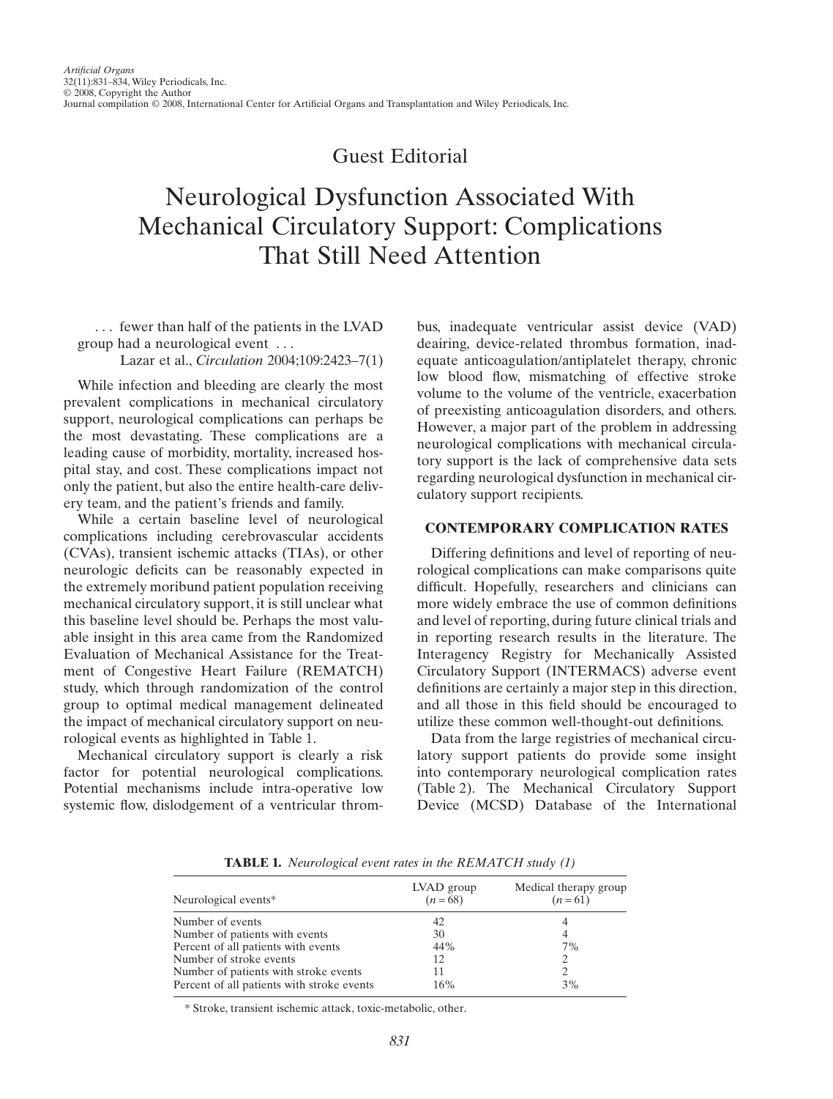# Guest Editorial

# Neurological Dysfunction Associated With Mechanical Circulatory Support: Complications That Still Need Attention

. . . fewer than half of the patients in the LVAD group had a neurological event . . .

# Lazar et al., *Circulation* 2004;109:2423–7(1)

While infection and bleeding are clearly the most prevalent complications in mechanical circulatory support, neurological complications can perhaps be the most devastating. These complications are a leading cause of morbidity, mortality, increased hospital stay, and cost. These complications impact not only the patient, but also the entire health-care delivery team, and the patient's friends and family.

While a certain baseline level of neurological complications including cerebrovascular accidents (CVAs), transient ischemic attacks (TIAs), or other neurologic deficits can be reasonably expected in the extremely moribund patient population receiving mechanical circulatory support, it is still unclear what this baseline level should be. Perhaps the most valuable insight in this area came from the Randomized Evaluation of Mechanical Assistance for the Treatment of Congestive Heart Failure (REMATCH) study, which through randomization of the control group to optimal medical management delineated the impact of mechanical circulatory support on neurological events as highlighted in Table 1.

Mechanical circulatory support is clearly a risk factor for potential neurological complications. Potential mechanisms include intra-operative low systemic flow, dislodgement of a ventricular thrombus, inadequate ventricular assist device (VAD) deairing, device-related thrombus formation, inadequate anticoagulation/antiplatelet therapy, chronic low blood flow, mismatching of effective stroke volume to the volume of the ventricle, exacerbation of preexisting anticoagulation disorders, and others. However, a major part of the problem in addressing neurological complications with mechanical circulatory support is the lack of comprehensive data sets regarding neurological dysfunction in mechanical circulatory support recipients.

## **CONTEMPORARY COMPLICATION RATES**

Differing definitions and level of reporting of neurological complications can make comparisons quite difficult. Hopefully, researchers and clinicians can more widely embrace the use of common definitions and level of reporting, during future clinical trials and in reporting research results in the literature. The Interagency Registry for Mechanically Assisted Circulatory Support (INTERMACS) adverse event definitions are certainly a major step in this direction, and all those in this field should be encouraged to utilize these common well-thought-out definitions.

Data from the large registries of mechanical circulatory support patients do provide some insight into contemporary neurological complication rates (Table 2). The Mechanical Circulatory Support Device (MCSD) Database of the International

| Neurological events*                       | LVAD group<br>$(n = 68)$ | Medical therapy group<br>$(n=61)$ |
|--------------------------------------------|--------------------------|-----------------------------------|
| Number of events                           | 42                       |                                   |
| Number of patients with events             | 30                       | 4                                 |
| Percent of all patients with events        | $44\%$                   | 7%                                |
| Number of stroke events                    | 12                       |                                   |
| Number of patients with stroke events      |                          |                                   |
| Percent of all patients with stroke events | 16%                      | 3%                                |
|                                            |                          |                                   |

**TABLE 1.** *Neurological event rates in the REMATCH study (1)*

\* Stroke, transient ischemic attack, toxic-metabolic, other.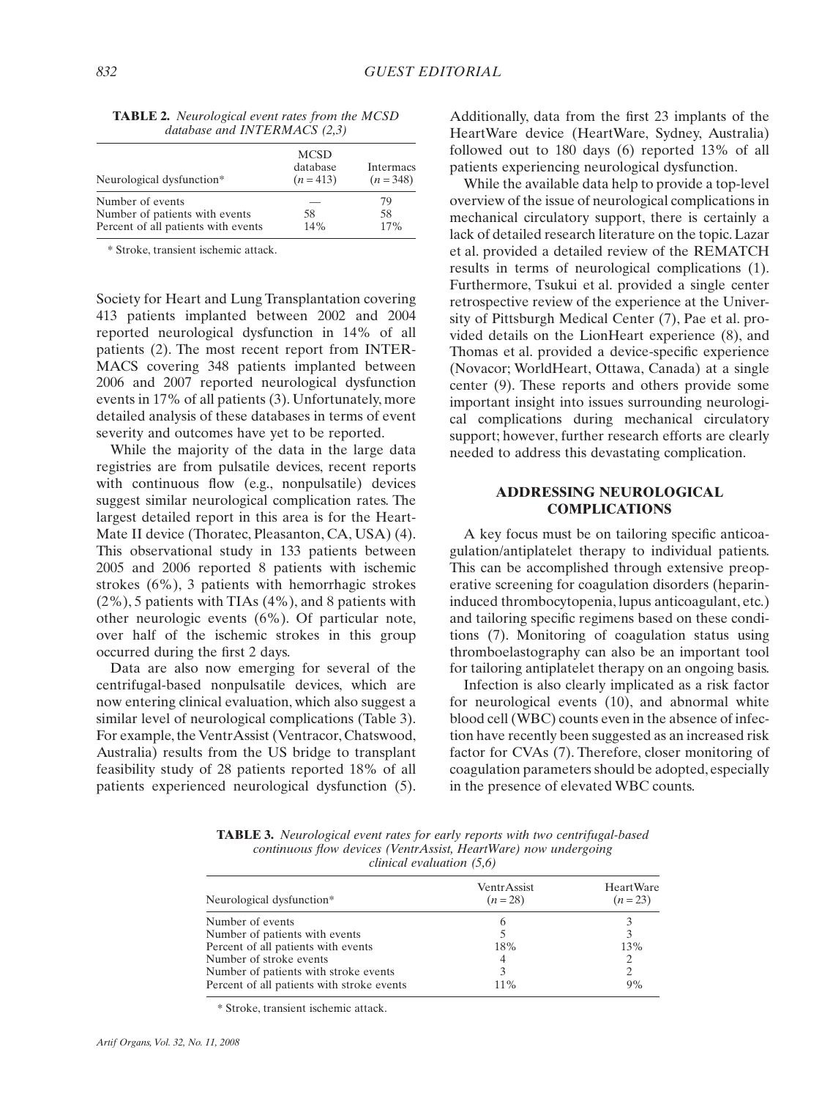| Neurological dysfunction*           | <b>MCSD</b><br>database<br>$(n=413)$ | Intermacs<br>$(n=348)$ |
|-------------------------------------|--------------------------------------|------------------------|
| Number of events                    |                                      | 79                     |
| Number of patients with events      | 58                                   | 58                     |
| Percent of all patients with events | 14%                                  | 17%                    |

**TABLE 2.** *Neurological event rates from the MCSD database and INTERMACS (2,3)*

\* Stroke, transient ischemic attack.

Society for Heart and Lung Transplantation covering 413 patients implanted between 2002 and 2004 reported neurological dysfunction in 14% of all patients (2). The most recent report from INTER-MACS covering 348 patients implanted between 2006 and 2007 reported neurological dysfunction events in 17% of all patients (3). Unfortunately, more detailed analysis of these databases in terms of event severity and outcomes have yet to be reported.

While the majority of the data in the large data registries are from pulsatile devices, recent reports with continuous flow (e.g., nonpulsatile) devices suggest similar neurological complication rates. The largest detailed report in this area is for the Heart-Mate II device (Thoratec, Pleasanton, CA, USA) (4). This observational study in 133 patients between 2005 and 2006 reported 8 patients with ischemic strokes (6%), 3 patients with hemorrhagic strokes (2%), 5 patients with TIAs (4%), and 8 patients with other neurologic events (6%). Of particular note, over half of the ischemic strokes in this group occurred during the first 2 days.

Data are also now emerging for several of the centrifugal-based nonpulsatile devices, which are now entering clinical evaluation, which also suggest a similar level of neurological complications (Table 3). For example, the VentrAssist (Ventracor, Chatswood, Australia) results from the US bridge to transplant feasibility study of 28 patients reported 18% of all patients experienced neurological dysfunction (5). Additionally, data from the first 23 implants of the HeartWare device (HeartWare, Sydney, Australia) followed out to 180 days (6) reported 13% of all patients experiencing neurological dysfunction.

While the available data help to provide a top-level overview of the issue of neurological complications in mechanical circulatory support, there is certainly a lack of detailed research literature on the topic. Lazar et al. provided a detailed review of the REMATCH results in terms of neurological complications (1). Furthermore, Tsukui et al. provided a single center retrospective review of the experience at the University of Pittsburgh Medical Center (7), Pae et al. provided details on the LionHeart experience (8), and Thomas et al. provided a device-specific experience (Novacor; WorldHeart, Ottawa, Canada) at a single center (9). These reports and others provide some important insight into issues surrounding neurological complications during mechanical circulatory support; however, further research efforts are clearly needed to address this devastating complication.

# **ADDRESSING NEUROLOGICAL COMPLICATIONS**

A key focus must be on tailoring specific anticoagulation/antiplatelet therapy to individual patients. This can be accomplished through extensive preoperative screening for coagulation disorders (heparininduced thrombocytopenia, lupus anticoagulant, etc.) and tailoring specific regimens based on these conditions (7). Monitoring of coagulation status using thromboelastography can also be an important tool for tailoring antiplatelet therapy on an ongoing basis.

Infection is also clearly implicated as a risk factor for neurological events (10), and abnormal white blood cell (WBC) counts even in the absence of infection have recently been suggested as an increased risk factor for CVAs (7). Therefore, closer monitoring of coagulation parameters should be adopted, especially in the presence of elevated WBC counts.

**TABLE 3.** *Neurological event rates for early reports with two centrifugal-based continuous flow devices (VentrAssist, HeartWare) now undergoing clinical evaluation (5,6)*

| Neurological dysfunction*                  | VentrAssist<br>$(n=28)$ | HeartWare<br>$(n=23)$ |
|--------------------------------------------|-------------------------|-----------------------|
| Number of events                           |                         |                       |
| Number of patients with events             |                         | $\mathcal{F}$         |
| Percent of all patients with events        | 18%                     | 13%                   |
| Number of stroke events                    |                         | 2                     |
| Number of patients with stroke events      |                         | $\mathfrak{2}$        |
| Percent of all patients with stroke events | $11\%$                  | 9%                    |
|                                            |                         |                       |

\* Stroke, transient ischemic attack.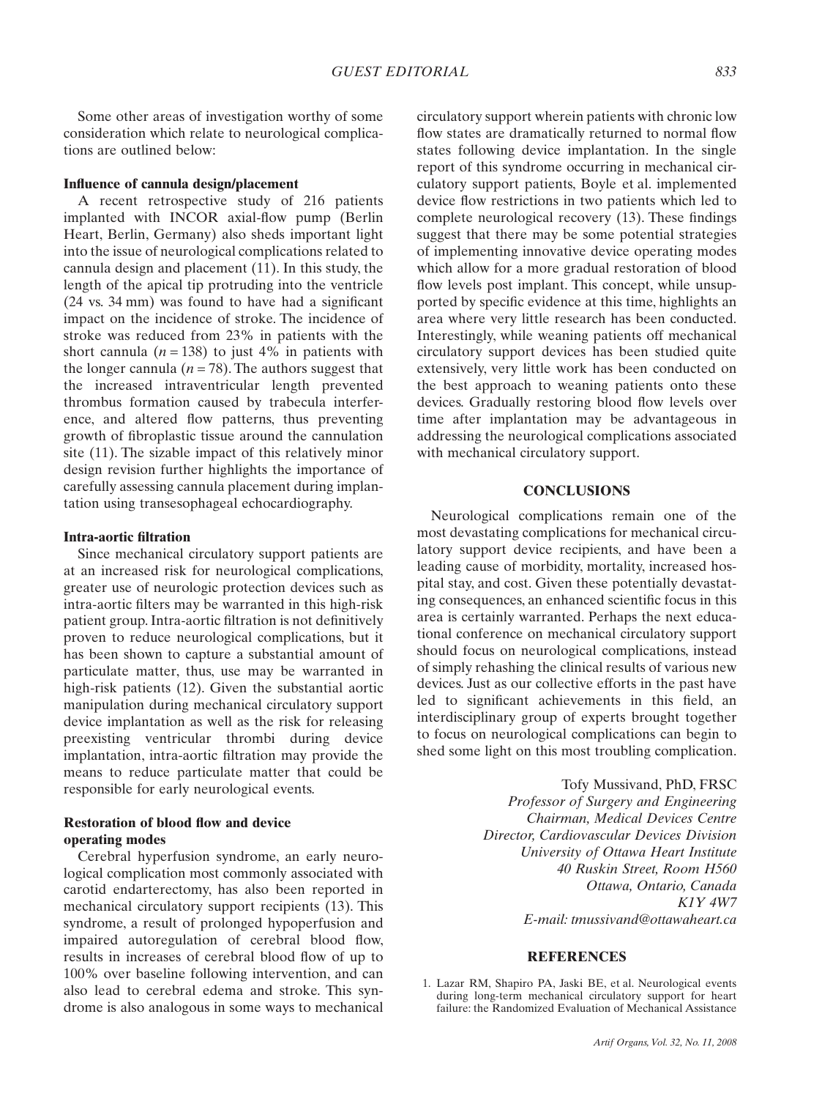Some other areas of investigation worthy of some consideration which relate to neurological complications are outlined below:

#### **Influence of cannula design/placement**

A recent retrospective study of 216 patients implanted with INCOR axial-flow pump (Berlin Heart, Berlin, Germany) also sheds important light into the issue of neurological complications related to cannula design and placement (11). In this study, the length of the apical tip protruding into the ventricle (24 vs. 34 mm) was found to have had a significant impact on the incidence of stroke. The incidence of stroke was reduced from 23% in patients with the short cannula  $(n = 138)$  to just 4% in patients with the longer cannula  $(n = 78)$ . The authors suggest that the increased intraventricular length prevented thrombus formation caused by trabecula interference, and altered flow patterns, thus preventing growth of fibroplastic tissue around the cannulation site (11). The sizable impact of this relatively minor design revision further highlights the importance of carefully assessing cannula placement during implantation using transesophageal echocardiography.

## **Intra-aortic filtration**

Since mechanical circulatory support patients are at an increased risk for neurological complications, greater use of neurologic protection devices such as intra-aortic filters may be warranted in this high-risk patient group. Intra-aortic filtration is not definitively proven to reduce neurological complications, but it has been shown to capture a substantial amount of particulate matter, thus, use may be warranted in high-risk patients (12). Given the substantial aortic manipulation during mechanical circulatory support device implantation as well as the risk for releasing preexisting ventricular thrombi during device implantation, intra-aortic filtration may provide the means to reduce particulate matter that could be responsible for early neurological events.

# **Restoration of blood flow and device operating modes**

Cerebral hyperfusion syndrome, an early neurological complication most commonly associated with carotid endarterectomy, has also been reported in mechanical circulatory support recipients (13). This syndrome, a result of prolonged hypoperfusion and impaired autoregulation of cerebral blood flow, results in increases of cerebral blood flow of up to 100% over baseline following intervention, and can also lead to cerebral edema and stroke. This syndrome is also analogous in some ways to mechanical circulatory support wherein patients with chronic low flow states are dramatically returned to normal flow states following device implantation. In the single report of this syndrome occurring in mechanical circulatory support patients, Boyle et al. implemented device flow restrictions in two patients which led to complete neurological recovery (13). These findings suggest that there may be some potential strategies of implementing innovative device operating modes which allow for a more gradual restoration of blood flow levels post implant. This concept, while unsupported by specific evidence at this time, highlights an area where very little research has been conducted. Interestingly, while weaning patients off mechanical circulatory support devices has been studied quite extensively, very little work has been conducted on the best approach to weaning patients onto these devices. Gradually restoring blood flow levels over time after implantation may be advantageous in addressing the neurological complications associated with mechanical circulatory support.

#### **CONCLUSIONS**

Neurological complications remain one of the most devastating complications for mechanical circulatory support device recipients, and have been a leading cause of morbidity, mortality, increased hospital stay, and cost. Given these potentially devastating consequences, an enhanced scientific focus in this area is certainly warranted. Perhaps the next educational conference on mechanical circulatory support should focus on neurological complications, instead of simply rehashing the clinical results of various new devices. Just as our collective efforts in the past have led to significant achievements in this field, an interdisciplinary group of experts brought together to focus on neurological complications can begin to shed some light on this most troubling complication.

> Tofy Mussivand, PhD, FRSC *Professor of Surgery and Engineering Chairman, Medical Devices Centre Director, Cardiovascular Devices Division University of Ottawa Heart Institute 40 Ruskin Street, Room H560 Ottawa, Ontario, Canada K1Y 4W7 E-mail: [tmussivand@ottawaheart.ca](mailto:tmussivand@ottawaheart.ca)*

# **REFERENCES**

1. Lazar RM, Shapiro PA, Jaski BE, et al. Neurological events during long-term mechanical circulatory support for heart failure: the Randomized Evaluation of Mechanical Assistance